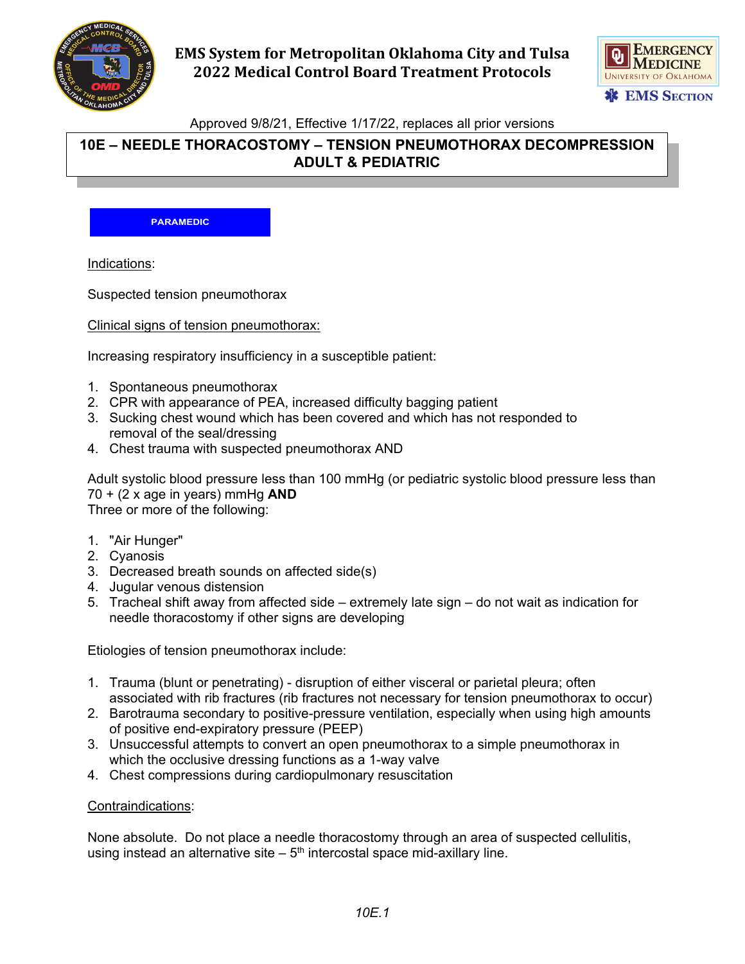

# **EMS System for Metropolitan Oklahoma City and Tulsa 2022 Medical Control Board Treatment Protocols**



Approved 9/8/21, Effective 1/17/22, replaces all prior versions

## **10E – NEEDLE THORACOSTOMY – TENSION PNEUMOTHORAX DECOMPRESSION ADULT & PEDIATRIC**

**PARAMEDIC**

Indications:

Suspected tension pneumothorax

Clinical signs of tension pneumothorax:

Increasing respiratory insufficiency in a susceptible patient:

- 1. Spontaneous pneumothorax
- 2. CPR with appearance of PEA, increased difficulty bagging patient
- 3. Sucking chest wound which has been covered and which has not responded to removal of the seal/dressing
- 4. Chest trauma with suspected pneumothorax AND

Adult systolic blood pressure less than 100 mmHg (or pediatric systolic blood pressure less than 70 + (2 x age in years) mmHg **AND** Three or more of the following:

- 1. "Air Hunger"
- 2. Cyanosis
- 3. Decreased breath sounds on affected side(s)
- 4. Jugular venous distension
- 5. Tracheal shift away from affected side extremely late sign do not wait as indication for needle thoracostomy if other signs are developing

Etiologies of tension pneumothorax include:

- 1. Trauma (blunt or penetrating) disruption of either visceral or parietal pleura; often associated with rib fractures (rib fractures not necessary for tension pneumothorax to occur)
- 2. Barotrauma secondary to positive-pressure ventilation, especially when using high amounts of positive end-expiratory pressure (PEEP)
- 3. Unsuccessful attempts to convert an open pneumothorax to a simple pneumothorax in which the occlusive dressing functions as a 1-way valve
- 4. Chest compressions during cardiopulmonary resuscitation

#### Contraindications:

None absolute. Do not place a needle thoracostomy through an area of suspected cellulitis, using instead an alternative site  $-5<sup>th</sup>$  intercostal space mid-axillary line.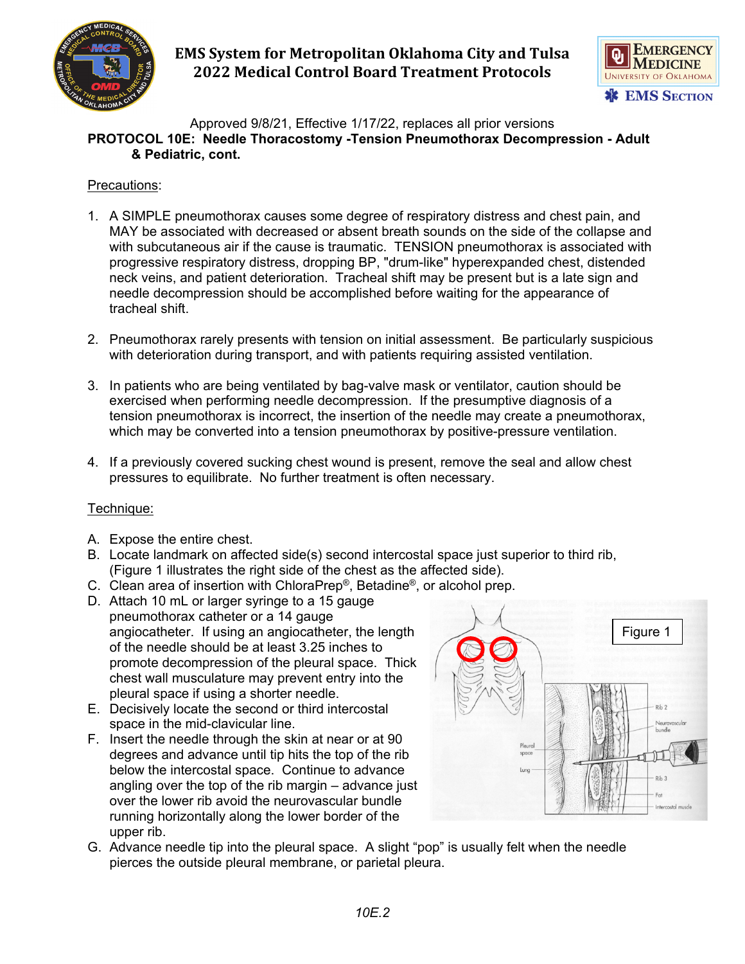

# **EMS System for Metropolitan Oklahoma City and Tulsa 2022 Medical Control Board Treatment Protocols**



### Approved 9/8/21, Effective 1/17/22, replaces all prior versions **PROTOCOL 10E: Needle Thoracostomy -Tension Pneumothorax Decompression - Adult & Pediatric, cont.**

### Precautions:

- 1. A SIMPLE pneumothorax causes some degree of respiratory distress and chest pain, and MAY be associated with decreased or absent breath sounds on the side of the collapse and with subcutaneous air if the cause is traumatic. TENSION pneumothorax is associated with progressive respiratory distress, dropping BP, "drum-like" hyperexpanded chest, distended neck veins, and patient deterioration. Tracheal shift may be present but is a late sign and needle decompression should be accomplished before waiting for the appearance of tracheal shift.
- 2. Pneumothorax rarely presents with tension on initial assessment. Be particularly suspicious with deterioration during transport, and with patients requiring assisted ventilation.
- 3. In patients who are being ventilated by bag-valve mask or ventilator, caution should be exercised when performing needle decompression. If the presumptive diagnosis of a tension pneumothorax is incorrect, the insertion of the needle may create a pneumothorax, which may be converted into a tension pneumothorax by positive-pressure ventilation.
- 4. If a previously covered sucking chest wound is present, remove the seal and allow chest pressures to equilibrate. No further treatment is often necessary.

## Technique:

- A. Expose the entire chest.
- B. Locate landmark on affected side(s) second intercostal space just superior to third rib, (Figure 1 illustrates the right side of the chest as the affected side).
- C. Clean area of insertion with ChloraPrep®, Betadine®, or alcohol prep.
- D. Attach 10 mL or larger syringe to a 15 gauge pneumothorax catheter or a 14 gauge angiocatheter. If using an angiocatheter, the length of the needle should be at least 3.25 inches to promote decompression of the pleural space. Thick chest wall musculature may prevent entry into the pleural space if using a shorter needle.
- E. Decisively locate the second or third intercostal space in the mid-clavicular line.
- F. Insert the needle through the skin at near or at 90 degrees and advance until tip hits the top of the rib below the intercostal space. Continue to advance angling over the top of the rib margin – advance just over the lower rib avoid the neurovascular bundle running horizontally along the lower border of the upper rib.



G. Advance needle tip into the pleural space. A slight "pop" is usually felt when the needle pierces the outside pleural membrane, or parietal pleura.